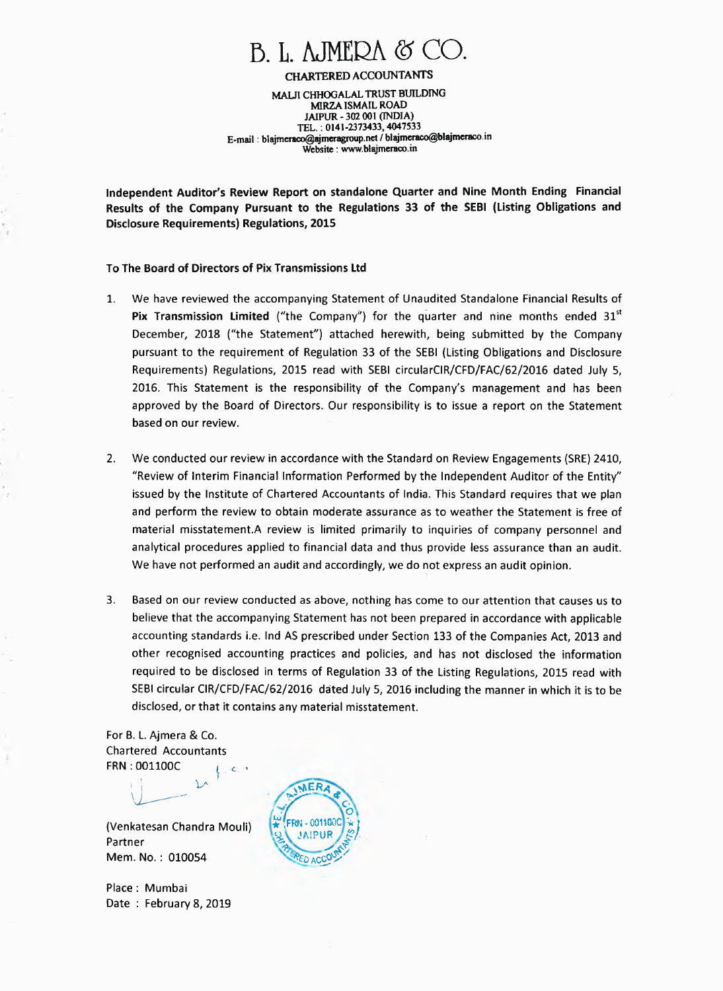# $B. L.$  AJMERA  $\otimes \subset$

**CHARTERED ACCOUNTANTS MALR CHHOGALAL TRUST BUILDING MIRZA ISMAIL ROAD JAIPUR - 302 001 (INDIA) TEL. : 0141-2373433, 4047533 E-mail : blajmeraco@ajmeragroup.net / blajmeraco@blajmeracoin Website : www.blajmeraco.in** 

**Independent Auditor's Review Report on standalone Quarter and Nine Month Ending Financial Results of the Company Pursuant to the Regulations 33 of the SEBI (Listing Obligations and Disclosure Requirements) Regulations, 2015** 

### **To The Board of Directors of Pix Transmissions Ltd**

- **1. We have reviewed the accompanying Statement of Unaudited Standalone Financial Results of Pix Transmission Limited** ("the Company") for the quarter and nine months ended 31<sup>st</sup> **December, 2018 ("the Statement") attached herewith, being submitted by the Company pursuant to the requirement of Regulation 33 of the SEBI (Listing Obligations and Disclosure Requirements) Regulations, 2015 read with SEBI circularClR/CFD/FAC/62/2016 dated July 5, 2016. This Statement is the responsibility of the Company's management and has been approved by the Board of Directors. Our responsibility is to issue a report on the Statement based on our review.**
- **2. We conducted our review in accordance with the Standard on Review Engagements (SRE) 2410, "Review of Interim Financial Information Performed by the Independent Auditor of the Entity" issued by the Institute of Chartered Accountants of India. This Standard requires that we plan and perform the review to obtain moderate assurance as to weather the Statement is free of material misstatement.A review is limited primarily to inquiries of company personnel and analytical procedures applied to financial data and thus provide less assurance than an audit. We have not performed an audit and accordingly, we do not express an audit opinion.**
- **3. Based on our review conducted as above, nothing has come to our attention that causes us to believe that the accompanying Statement has not been prepared in accordance with applicable accounting standards i.e. Ind AS prescribed under Section 133 of the Companies Act, 2013 and other recognised accounting practices and policies, and has not disclosed the information required to be disclosed in terms of Regulation 33 of the Listing Regulations, 2015 read with SEBI circular CIR/CFD/FAC/62/2016 dated July 5, 2016 including the manner in which it is to be disclosed, or that it contains any material misstatement.**

**For B. L. Ajmera & Co. Chartered Accountants FRN : 001100C**   $\epsilon$  .

**(Venkatesan Chandra Mouli) Partner Mem. No.: 010054** 

ヽ

**Place : Mumbai Date : February 8, 2019** 

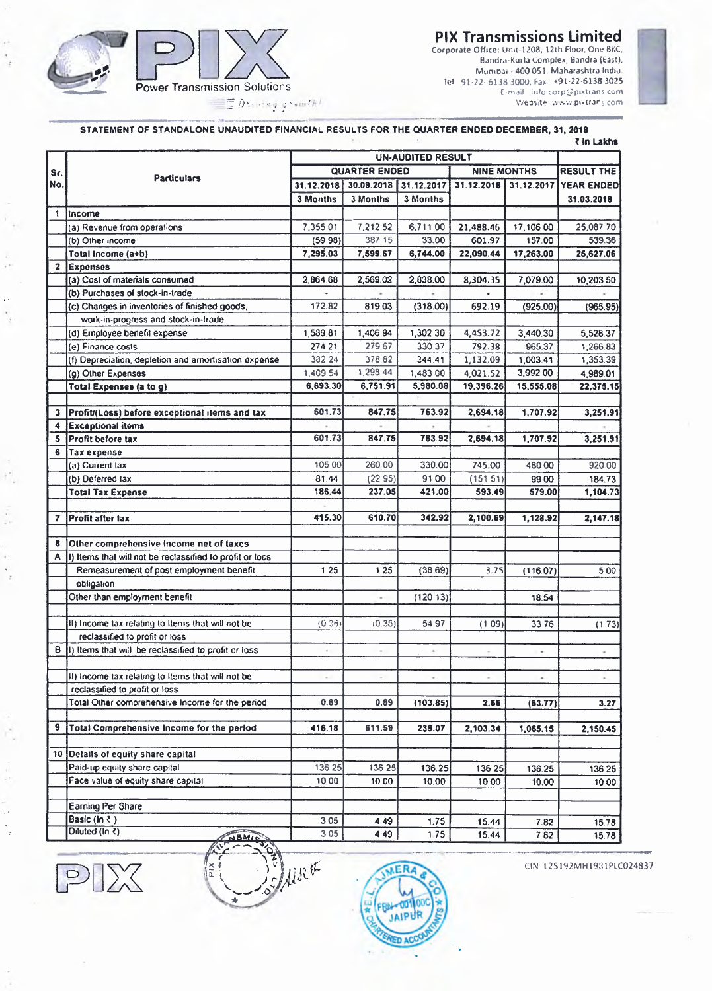## **PIX Transmissions Limited**  Corporate Office: Unit-1208, 12th Floor, One BKC,

Sandra-Kuria Complex, Bandra (East), Mumbai - 400 051. Maharashtra India. tel 91.22. 6138 3000. Fax +91-22-6138 3025 E-mail info corp9pixtrans.com Website www.pixtrans.com



 $\hat{\mathbf{r}}$ 

 $\bar{\psi}$  $\overline{\phantom{a}}$ 

٠,  $\mathcal{X}^{\bullet}_{\mathcal{A}}$ 

Í,

 $\bar{\alpha}$  $\hat{\mathcal{A}}$  $\overline{z}$ 

 $\ddot{\phantom{a}}$  $\frac{1}{2}$  *7).:* , • ; ; • '

## **STATEMENT OF STANDALONE UNAUDITED FINANCIAL RESULTS FOR THE QUARTER ENDED DECEMBER, 31, 2018**

|              |                                                          | <b>UN-AUDITED RESULT</b> |                          |            |                    |            |                   |
|--------------|----------------------------------------------------------|--------------------------|--------------------------|------------|--------------------|------------|-------------------|
| Sr.          |                                                          | <b>QUARTER ENDED</b>     |                          |            | <b>NINE MONTHS</b> |            | <b>RESULT THE</b> |
| No.          | <b>Particulars</b>                                       | 31.12.2018               | 30.09.2018               | 31.12.2017 | 31.12.2018         | 31.12.2017 | <b>YEAR ENDED</b> |
|              |                                                          | 3 Months                 | 3 Months                 | 3 Months   |                    |            | 31.03.2018        |
| $\mathbf{1}$ | <i>Income</i>                                            |                          |                          |            |                    |            |                   |
|              | (a) Revenue from operations                              | 7,355 01                 | 7,212 52                 | 6,711 00   | 21,488.46          | 17,106.00  | 25,087 70         |
|              | (b) Other income                                         | (5998)                   | 387 15                   | 33.00      | 601.97             | 157.00     | 539.36            |
|              | Total Income (a+b)                                       | 7,295.03                 | 7,599.67                 | 6,744.00   | 22,090.44          | 17,263.00  | 26,627.06         |
| $\mathbf{2}$ | <b>Expenses</b>                                          |                          |                          |            |                    |            |                   |
|              | (a) Cost of materials consumed                           | 2,864.68                 | 2,569.02                 | 2,838.00   | 8,304.35           | 7,079.00   | 10,203.50         |
|              | (b) Purchases of stock-in-trade                          |                          |                          |            |                    |            |                   |
|              | (c) Changes in inventories of finished goods,            | 172.82                   | 81903                    | (318.00)   | 692.19             | (925.00)   | (965.95)          |
|              | work-in-progress and stock-in-trade                      |                          |                          |            |                    |            |                   |
|              | (d) Employee benefit expense                             | 1,539.81                 | 1,406.94                 | 1,302.30   | 4,453.72           | 3,440.30   | 5,528.37          |
|              | (e) Finance costs                                        | 274 21                   | 279.67                   | 330.37     | 792.38             | 965.37     | 1,266.83          |
|              | (f) Depreciation, depletion and amortisation expense     | 382 24                   | 378.82                   | 344.41     | 1,132.09           | 1,003.41   | 1,353.39          |
|              | (g) Other Expenses                                       | 1,409.54                 | 1,298 44                 | 1,483 00   | 4,021.52           | 3,992.00   | 4,989.01          |
|              | Total Expenses (a to g)                                  | 6,693.30                 | 6,751.91                 | 5,980.08   | 19,396.26          | 15,555.08  | 22,375.15         |
|              |                                                          |                          |                          |            |                    |            |                   |
| 3            | Profit/(Loss) before exceptional items and tax           | 601.73                   | 847.75                   | 763.92     | 2,694.18           | 1,707.92   | 3,251.91          |
| 4            | <b>Exceptional items</b>                                 |                          |                          |            |                    |            |                   |
| 5            | <b>Profit before tax</b>                                 | 601.73                   | 847.75                   | 763.92     | 2,694.18           | 1,707.92   | 3,251.91          |
| 6            | Tax expense                                              |                          |                          |            |                    |            |                   |
|              | (a) Current tax                                          | 105 00                   | 260 00                   | 330.00     | 745.00             | 480 00     | 920.00            |
|              | (b) Deferred tax                                         | 81.44                    | (2295)                   | 9100       | (151.51)           | 99.00      | 184.73            |
|              | <b>Total Tax Expense</b>                                 | 186.44                   | 237.05                   | 421.00     | 593.49             | 579.00     | 1,104.73          |
|              |                                                          |                          |                          |            |                    |            |                   |
| $\mathbf{7}$ | Profit after tax                                         | 415.30                   | 610.70                   | 342.92     | 2,100.69           | 1,128.92   | 2,147.18          |
|              |                                                          |                          |                          |            |                    |            |                   |
| 8            | Other comprehensive income net of taxes                  |                          |                          |            |                    |            |                   |
| A            | I) Items that will not be reclassified to profit or loss |                          |                          |            |                    |            |                   |
|              | Remeasurement of post employment benefit                 | 125                      | 125                      | (38.69)    | 3.75               | (116.07)   | 5 0 0             |
|              | obligation                                               |                          |                          |            |                    |            |                   |
|              | Other than employment benefit                            |                          | ٠                        | (12013)    |                    | 18.54      |                   |
|              |                                                          |                          |                          |            |                    |            |                   |
|              | II) Income tax relating to Items that will not be        | (0, 36)                  | (0.36)                   | 54 97      | (109)              | 3376       | (173)             |
|              | reclassified to profit or loss.                          |                          |                          |            |                    |            |                   |
| в            | (1) Items that will be reclassified to profit or loss    | $\epsilon$ .             | $\sim$                   | ×.         |                    | ٠          |                   |
|              |                                                          |                          |                          |            |                    |            |                   |
|              | II) Income tax relating to Items that will not be        | $\sim$                   | $\overline{\phantom{a}}$ | $\tau$     | ä.                 | ٠          |                   |
|              | reclassified to profit or loss                           |                          |                          |            |                    |            |                   |
|              | Total Other comprehensive Income for the period          | 0.89                     | 0.89                     | (103.85)   | 2.66               | (63.77)    | 3.27              |
|              |                                                          |                          |                          |            |                    |            |                   |
| 9            | Total Comprehensive Income for the period                | 416.18                   | 611.59                   | 239.07     | 2,103.34           | 1,065.15   | 2,150.45          |
|              |                                                          |                          |                          |            |                    |            |                   |
|              | 10 Oetails of equity share capital                       |                          |                          |            |                    |            |                   |
|              | Paid-up equity share capital                             | 136 25                   | 136 25                   | 136.25     | 136 25             | 136.25     | 136 25            |
|              | Face value of equity share capital                       | 10 00                    | 10 00                    | 10.00      | 10 00              | 10.00      | 10 00             |
|              |                                                          |                          |                          |            |                    |            |                   |
|              | Earning Per Share                                        |                          |                          |            |                    |            |                   |
|              | Basic (In ₹)                                             | 3.05                     | 4.49                     | 1.75       | 15.44              | 7.82       | 15.78             |
|              | Diluted (In ₹)<br>NSMIN                                  | 3.05                     | 4.49                     | 1,75       | 15.44              | 782        | 15.78             |

 $PIX$ 

 $\mathbf{r}$ 



CIN: 125192MH1931PLC024837